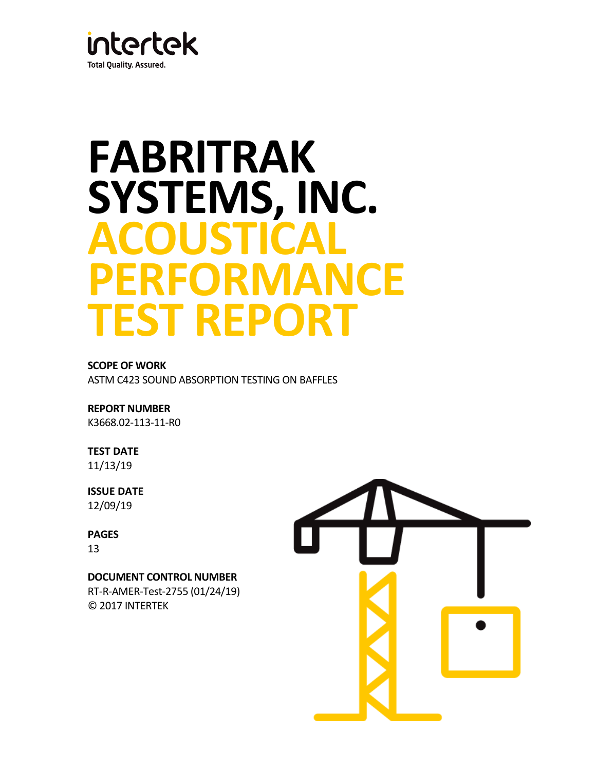

# **FABRITRAK SYSTEMS, INC. ACOUSTICAL PERFORMANCE TEST REPORT**

# **SCOPE OF WORK**

ASTM C423 SOUND ABSORPTION TESTING ON BAFFLES

# **REPORT NUMBER**

K3668.02-113-11-R0

# **TEST DATE**

11/13/19

# **ISSUE DATE** 12/09/19

# **PAGES** 13

**DOCUMENT CONTROL NUMBER** RT-R-AMER-Test-2755 (01/24/19)

© 2017 INTERTEK

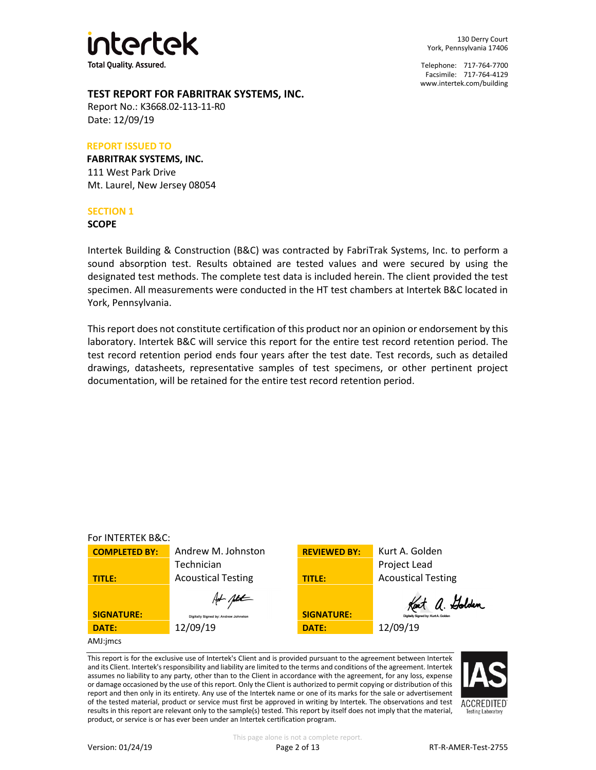

130 Derry Court York, Pennsylvania 17406

Telephone: 717-764-7700 Facsimile: 717-764-4129 [www.intertek.com/building](http://www.intertek.com/building)

# **TEST REPORT FOR FABRITRAK SYSTEMS, INC.**

Report No.: K3668.02-113-11-R0 Date: 12/09/19

#### **REPORT ISSUED TO**

**FABRITRAK SYSTEMS, INC.** 111 West Park Drive Mt. Laurel, New Jersey 08054

#### **SECTION 1**

**SCOPE**

Intertek Building & Construction (B&C) was contracted by FabriTrak Systems, Inc. to perform a sound absorption test. Results obtained are tested values and were secured by using the designated test methods. The complete test data is included herein. The client provided the test specimen. All measurements were conducted in the HT test chambers at Intertek B&C located in York, Pennsylvania.

This report does not constitute certification of this product nor an opinion or endorsement by this laboratory. Intertek B&C will service this report for the entire test record retention period. The test record retention period ends four years after the test date. Test records, such as detailed drawings, datasheets, representative samples of test specimens, or other pertinent project documentation, will be retained for the entire test record retention period.



This report is for the exclusive use of Intertek's Client and is provided pursuant to the agreement between Intertek and its Client. Intertek's responsibility and liability are limited to the terms and conditions of the agreement. Intertek assumes no liability to any party, other than to the Client in accordance with the agreement, for any loss, expense or damage occasioned by the use of this report. Only the Client is authorized to permit copying or distribution of this report and then only in its entirety. Any use of the Intertek name or one of its marks for the sale or advertisement of the tested material, product or service must first be approved in writing by Intertek. The observations and test results in this report are relevant only to the sample(s) tested. This report by itself does not imply that the material, product, or service is or has ever been under an Intertek certification program.

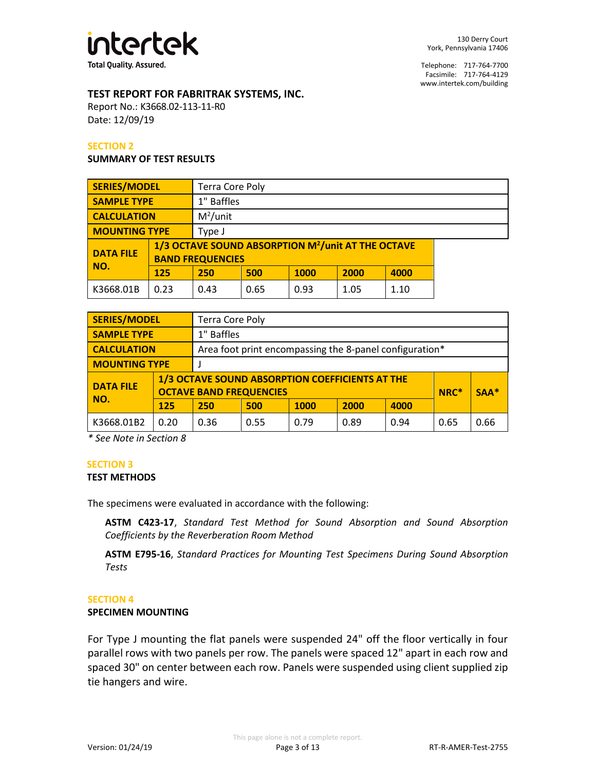

# **TEST REPORT FOR FABRITRAK SYSTEMS, INC.**

Report No.: K3668.02-113-11-R0 Date: 12/09/19

#### **SECTION 2**

#### **SUMMARY OF TEST RESULTS**

| <b>SERIES/MODEL</b>  |      | <b>Terra Core Poly</b>                                                                    |            |      |      |      |  |  |
|----------------------|------|-------------------------------------------------------------------------------------------|------------|------|------|------|--|--|
| <b>SAMPLE TYPE</b>   |      |                                                                                           | 1" Baffles |      |      |      |  |  |
| <b>CALCULATION</b>   |      | $M^2$ /unit                                                                               |            |      |      |      |  |  |
| <b>MOUNTING TYPE</b> |      | Type J                                                                                    |            |      |      |      |  |  |
| <b>DATA FILE</b>     |      | 1/3 OCTAVE SOUND ABSORPTION M <sup>2</sup> /unit AT THE OCTAVE<br><b>BAND FREQUENCIES</b> |            |      |      |      |  |  |
| NO.                  | 125  | 250                                                                                       | 500        | 1000 | 2000 | 4000 |  |  |
| K3668.01B            | 0.23 | 0.43                                                                                      | 0.65       | 0.93 | 1.05 | 1.10 |  |  |

| <b>SERIES/MODEL</b>                                                                                   |      | <b>Terra Core Poly</b> |            |             |      |      |        |      |  |
|-------------------------------------------------------------------------------------------------------|------|------------------------|------------|-------------|------|------|--------|------|--|
| <b>SAMPLE TYPE</b>                                                                                    |      |                        | 1" Baffles |             |      |      |        |      |  |
| <b>CALCULATION</b><br>Area foot print encompassing the 8-panel configuration*                         |      |                        |            |             |      |      |        |      |  |
| <b>MOUNTING TYPE</b>                                                                                  |      |                        |            |             |      |      |        |      |  |
| 1/3 OCTAVE SOUND ABSORPTION COEFFICIENTS AT THE<br><b>DATA FILE</b><br><b>OCTAVE BAND FREQUENCIES</b> |      |                        |            |             |      | NRC* | $SAA*$ |      |  |
| NO.                                                                                                   | 125  | 250                    | 500        | <b>1000</b> | 2000 | 4000 |        |      |  |
| K3668.01B2                                                                                            | 0.20 | 0.36                   | 0.55       | 0.79        | 0.89 | 0.94 | 0.65   | 0.66 |  |

*\* See Note in Section 8*

# **SECTION 3**

#### **TEST METHODS**

The specimens were evaluated in accordance with the following:

**ASTM C423-17**, *Standard Test Method for Sound Absorption and Sound Absorption Coefficients by the Reverberation Room Method*

**ASTM E795-16**, *Standard Practices for Mounting Test Specimens During Sound Absorption Tests*

#### **SECTION 4**

#### **SPECIMEN MOUNTING**

For Type J mounting the flat panels were suspended 24" off the floor vertically in four parallel rows with two panels per row. The panels were spaced 12" apart in each row and spaced 30" on center between each row. Panels were suspended using client supplied zip tie hangers and wire.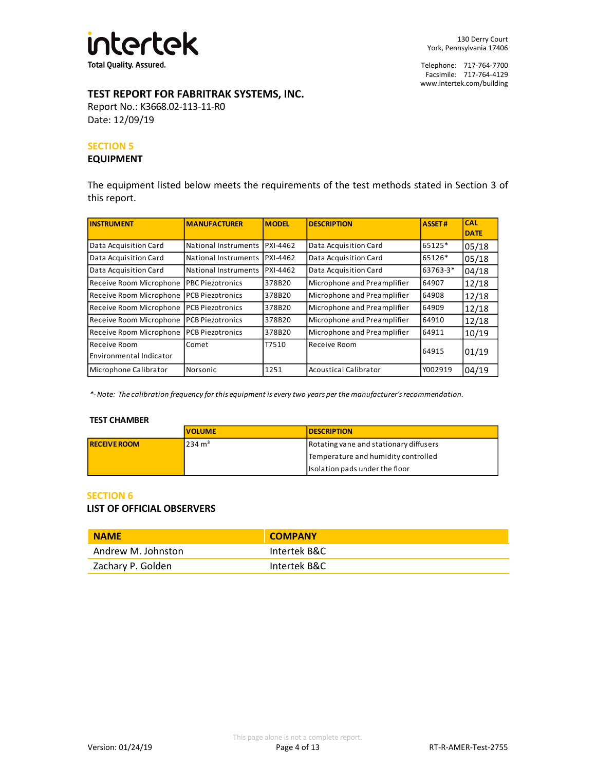

# **TEST REPORT FOR FABRITRAK SYSTEMS, INC.**

Report No.: K3668.02-113-11-R0 Date: 12/09/19

#### **SECTION 5**

#### **EQUIPMENT**

The equipment listed below meets the requirements of the test methods stated in Section 3 of this report.

| <b>INSTRUMENT</b>                       | <b>MANUFACTURER</b>            | <b>MODEL</b> | <b>DESCRIPTION</b>           | <b>ASSET#</b> | <b>CAL</b><br><b>DATE</b> |
|-----------------------------------------|--------------------------------|--------------|------------------------------|---------------|---------------------------|
| Data Acquisition Card                   | National Instruments IPXI-4462 |              | Data Acquisition Card        | 65125*        | 05/18                     |
| Data Acquisition Card                   | National Instruments IPXI-4462 |              | Data Acquisition Card        | 65126*        | 05/18                     |
| Data Acquisition Card                   | National Instruments IPXI-4462 |              | Data Acquisition Card        | 63763-3*      | 04/18                     |
| Receive Room Microphone                 | <b>PBC Piezotronics</b>        | 378B20       | Microphone and Preamplifier  | 64907         | 12/18                     |
| Receive Room Microphone                 | <b>PCB Piezotronics</b>        | 378B20       | Microphone and Preamplifier  | 64908         | 12/18                     |
| Receive Room Microphone                 | <b>PCB Piezotronics</b>        | 378B20       | Microphone and Preamplifier  | 64909         | 12/18                     |
| Receive Room Microphone                 | <b>PCB Piezotronics</b>        | 378B20       | Microphone and Preamplifier  | 64910         | 12/18                     |
| Receive Room Microphone                 | <b>PCB Piezotronics</b>        | 378B20       | Microphone and Preamplifier  | 64911         | 10/19                     |
| Receive Room<br>Environmental Indicator | Comet                          | T7510        | Receive Room                 | 64915         | 01/19                     |
| Microphone Calibrator                   | Norsonic                       | 1251         | <b>Acoustical Calibrator</b> | Y002919       | 04/19                     |

*\*- Note: The calibration frequency for this equipment is every two years per the manufacturer's recommendation.*

#### **TEST CHAMBER**

|                     | <b>VOLUME</b>     | <b>IDESCRIPTION</b>                    |
|---------------------|-------------------|----------------------------------------|
| <b>RECEIVE ROOM</b> | $234 \text{ m}^3$ | Rotating vane and stationary diffusers |
|                     |                   | Temperature and humidity controlled    |
|                     |                   | Isolation pads under the floor         |

#### **SECTION 6**

#### **LIST OF OFFICIAL OBSERVERS**

| <b>NAME</b>        | <b>COMPANY</b> |
|--------------------|----------------|
| Andrew M. Johnston | Intertek B&C   |
| Zachary P. Golden  | Intertek B&C   |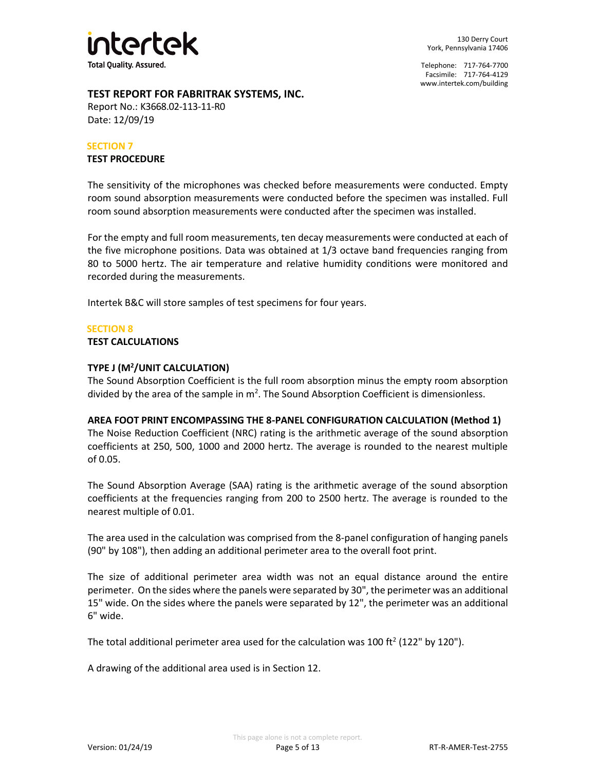

# **TEST REPORT FOR FABRITRAK SYSTEMS, INC.**

Report No.: K3668.02-113-11-R0 Date: 12/09/19

#### **SECTION 7**

#### **TEST PROCEDURE**

The sensitivity of the microphones was checked before measurements were conducted. Empty room sound absorption measurements were conducted before the specimen was installed. Full room sound absorption measurements were conducted after the specimen was installed.

For the empty and full room measurements, ten decay measurements were conducted at each of the five microphone positions. Data was obtained at 1/3 octave band frequencies ranging from 80 to 5000 hertz. The air temperature and relative humidity conditions were monitored and recorded during the measurements.

Intertek B&C will store samples of test specimens for four years.

# **SECTION 8**

#### **TEST CALCULATIONS**

# **TYPE J (M<sup>2</sup> /UNIT CALCULATION)**

The Sound Absorption Coefficient is the full room absorption minus the empty room absorption divided by the area of the sample in  $m^2$ . The Sound Absorption Coefficient is dimensionless.

#### **AREA FOOT PRINT ENCOMPASSING THE 8-PANEL CONFIGURATION CALCULATION (Method 1)**

The Noise Reduction Coefficient (NRC) rating is the arithmetic average of the sound absorption coefficients at 250, 500, 1000 and 2000 hertz. The average is rounded to the nearest multiple of 0.05.

The Sound Absorption Average (SAA) rating is the arithmetic average of the sound absorption coefficients at the frequencies ranging from 200 to 2500 hertz. The average is rounded to the nearest multiple of 0.01.

The area used in the calculation was comprised from the 8-panel configuration of hanging panels (90" by 108"), then adding an additional perimeter area to the overall foot print.

The size of additional perimeter area width was not an equal distance around the entire perimeter. On the sides where the panels were separated by 30", the perimeter was an additional 15" wide. On the sides where the panels were separated by 12", the perimeter was an additional 6" wide.

The total additional perimeter area used for the calculation was 100 ft<sup>2</sup> (122" by 120").

A drawing of the additional area used is in Section 12.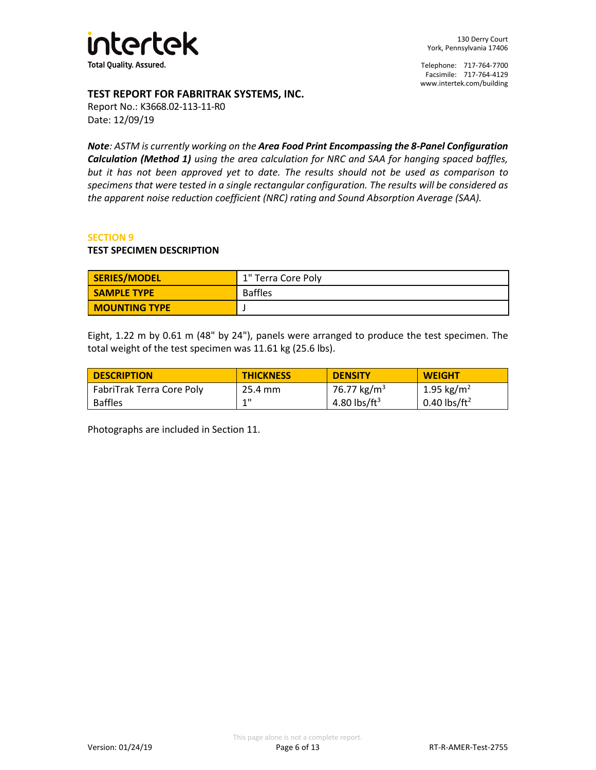

# **TEST REPORT FOR FABRITRAK SYSTEMS, INC.**

Report No.: K3668.02-113-11-R0 Date: 12/09/19

*Note: ASTM is currently working on the Area Food Print Encompassing the 8-Panel Configuration Calculation (Method 1) using the area calculation for NRC and SAA for hanging spaced baffles, but it has not been approved yet to date. The results should not be used as comparison to specimens that were tested in a single rectangular configuration. The results will be considered as the apparent noise reduction coefficient (NRC) rating and Sound Absorption Average (SAA).* 

#### **SECTION 9**

#### **TEST SPECIMEN DESCRIPTION**

| SERIES/MODEL         | 1" Terra Core Poly |
|----------------------|--------------------|
| <b>SAMPLE TYPE</b>   | <b>Baffles</b>     |
| <b>MOUNTING TYPE</b> |                    |

Eight, 1.22 m by 0.61 m (48" by 24"), panels were arranged to produce the test specimen. The total weight of the test specimen was 11.61 kg (25.6 lbs).

| <b>DESCRIPTION</b>        | <b>THICKNESS</b> | <b>DENSITY</b>           | <b>WEIGHT</b>            |
|---------------------------|------------------|--------------------------|--------------------------|
| FabriTrak Terra Core Poly | 25.4 mm          | 76.77 kg/m <sup>3</sup>  | 1.95 kg/m <sup>2</sup>   |
| <b>Baffles</b>            | 4.11             | 4.80 lbs/ft <sup>3</sup> | 0.40 lbs/ft <sup>2</sup> |

Photographs are included in Section 11.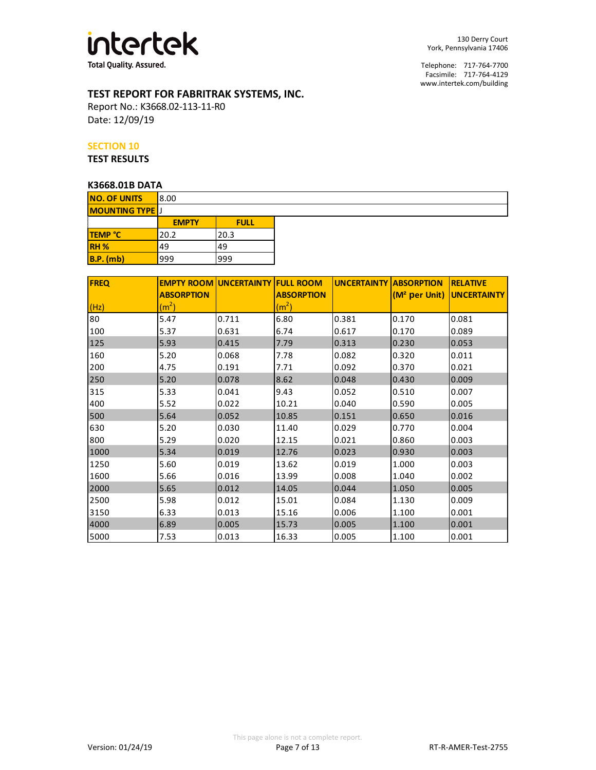

130 Derry Court York, Pennsylvania 17406

Telephone: 717-764-7700 Facsimile: 717-764-4129 [www.intertek.com/building](http://www.intertek.com/building)

# **TEST REPORT FOR FABRITRAK SYSTEMS, INC.**

Report No.: K3668.02-113-11-R0 Date: 12/09/19

#### **SECTION 10**

**TEST RESULTS**

# **K3668.01B DATA**

| <b>FREQ</b> |                   | <b>EMPTY ROOM UNCERTAINTY FULL ROOM</b> |                   | <b>UNCERTAINTY ABSORPTION</b> |       | <b>IRELATIVE</b>                      |
|-------------|-------------------|-----------------------------------------|-------------------|-------------------------------|-------|---------------------------------------|
|             | <b>ABSORPTION</b> |                                         | <b>ABSORPTION</b> |                               |       | (M <sup>2</sup> per Unit) UNCERTAINTY |
| (Hz)        | (m <sup>2</sup> ) |                                         | (m <sup>2</sup> ) |                               |       |                                       |
| 80          | 5.47              | 0.711                                   | 6.80              | 0.381                         | 0.170 | 0.081                                 |
| 100         | 5.37              | 0.631                                   | 6.74              | 0.617                         | 0.170 | 0.089                                 |
| 125         | 5.93              | 0.415                                   | 7.79              | 0.313                         | 0.230 | 0.053                                 |
| 160         | 5.20              | 0.068                                   | 7.78              | 0.082                         | 0.320 | 0.011                                 |
| 200         | 4.75              | 0.191                                   | 7.71              | 0.092                         | 0.370 | 0.021                                 |
| 250         | 5.20              | 0.078                                   | 8.62              | 0.048                         | 0.430 | 0.009                                 |
| 315         | 5.33              | 0.041                                   | 9.43              | 0.052                         | 0.510 | 0.007                                 |
| 400         | 5.52              | 0.022                                   | 10.21             | 0.040                         | 0.590 | 0.005                                 |
| 500         | 5.64              | 0.052                                   | 10.85             | 0.151                         | 0.650 | 0.016                                 |
| 630         | 5.20              | 0.030                                   | 11.40             | 0.029                         | 0.770 | 0.004                                 |
| 800         | 5.29              | 0.020                                   | 12.15             | 0.021                         | 0.860 | 0.003                                 |
| 1000        | 5.34              | 0.019                                   | 12.76             | 0.023                         | 0.930 | 0.003                                 |
| 1250        | 5.60              | 0.019                                   | 13.62             | 0.019                         | 1.000 | 0.003                                 |
| 1600        | 5.66              | 0.016                                   | 13.99             | 0.008                         | 1.040 | 0.002                                 |
| 2000        | 5.65              | 0.012                                   | 14.05             | 0.044                         | 1.050 | 0.005                                 |
| 2500        | 5.98              | 0.012                                   | 15.01             | 0.084                         | 1.130 | 0.009                                 |
| 3150        | 6.33              | 0.013                                   | 15.16             | 0.006                         | 1.100 | 0.001                                 |
| 4000        | 6.89              | 0.005                                   | 15.73             | 0.005                         | 1.100 | 0.001                                 |
| 5000        | 7.53              | 0.013                                   | 16.33             | 0.005                         | 1.100 | 0.001                                 |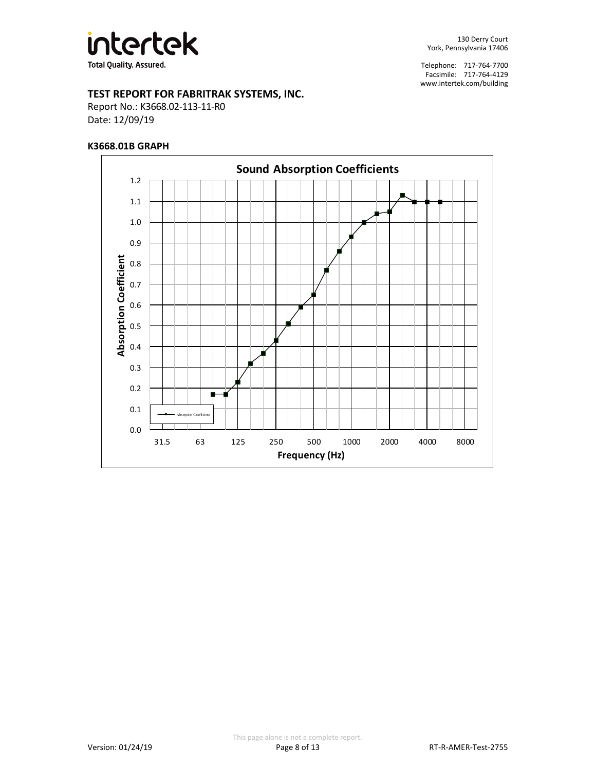

# **TEST REPORT FOR FABRITRAK SYSTEMS, INC.**

Report No.: K3668.02-113-11-R0 Date: 12/09/19

#### **K3668.01B GRAPH**

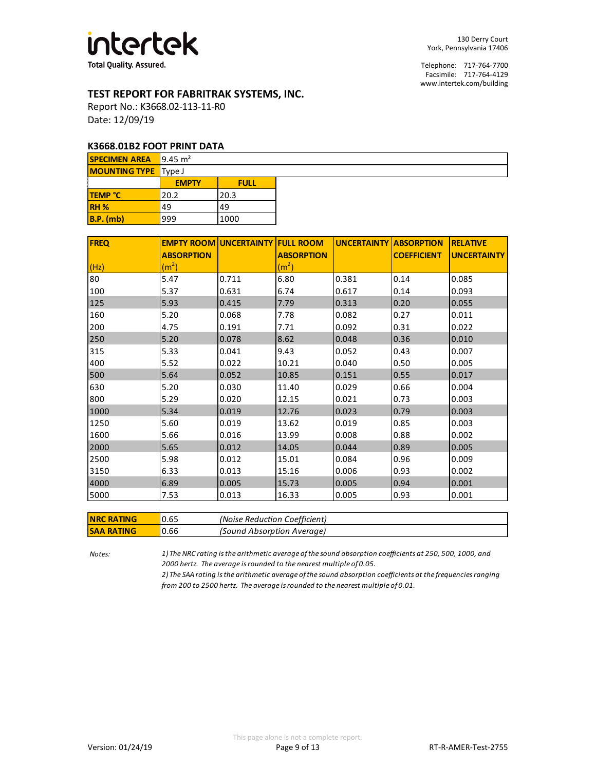

# **TEST REPORT FOR FABRITRAK SYSTEMS, INC.**

Report No.: K3668.02-113-11-R0 Date: 12/09/19

#### **K3668.01B2 FOOT PRINT DATA**

| <b>SPECIMEN AREA</b> 9.45 $m2$ |              |             |  |  |
|--------------------------------|--------------|-------------|--|--|
| <b>MOUNTING TYPE</b> Type J    |              |             |  |  |
|                                | <b>EMPTY</b> | <b>FULL</b> |  |  |
| <b>TEMP °C</b>                 | 20.2         | 20.3        |  |  |
| RH <sub>%</sub>                | 49           | 49          |  |  |
| $B.P.$ (mb)                    | 999          | 1000        |  |  |

| <b>FREQ</b> |                   | <b>EMPTY ROOM UNCERTAINTY FULL ROOM</b> |                   | <b>UNCERTAINTY ABSORPTION</b> |                    | <b>RELATIVE</b>    |
|-------------|-------------------|-----------------------------------------|-------------------|-------------------------------|--------------------|--------------------|
|             | <b>ABSORPTION</b> |                                         | <b>ABSORPTION</b> |                               | <b>COEFFICIENT</b> | <b>UNCERTAINTY</b> |
| (Hz)        | (m <sup>2</sup> ) |                                         | (m <sup>2</sup> ) |                               |                    |                    |
| 80          | 5.47              | 0.711                                   | 6.80              | 0.381                         | 0.14               | 0.085              |
| 100         | 5.37              | 0.631                                   | 6.74              | 0.617                         | 0.14               | 0.093              |
| 125         | 5.93              | 0.415                                   | 7.79              | 0.313                         | 0.20               | 0.055              |
| 160         | 5.20              | 0.068                                   | 7.78              | 0.082                         | 0.27               | 0.011              |
| 200         | 4.75              | 0.191                                   | 7.71              | 0.092                         | 0.31               | 0.022              |
| 250         | 5.20              | 0.078                                   | 8.62              | 0.048                         | 0.36               | 0.010              |
| 315         | 5.33              | 0.041                                   | 9.43              | 0.052                         | 0.43               | 0.007              |
| 400         | 5.52              | 0.022                                   | 10.21             | 0.040                         | 0.50               | 0.005              |
| 500         | 5.64              | 0.052                                   | 10.85             | 0.151                         | 0.55               | 0.017              |
| 630         | 5.20              | 0.030                                   | 11.40             | 0.029                         | 0.66               | 0.004              |
| 800         | 5.29              | 0.020                                   | 12.15             | 0.021                         | 0.73               | 0.003              |
| 1000        | 5.34              | 0.019                                   | 12.76             | 0.023                         | 0.79               | 0.003              |
| 1250        | 5.60              | 0.019                                   | 13.62             | 0.019                         | 0.85               | 0.003              |
| 1600        | 5.66              | 0.016                                   | 13.99             | 0.008                         | 0.88               | 0.002              |
| 2000        | 5.65              | 0.012                                   | 14.05             | 0.044                         | 0.89               | 0.005              |
| 2500        | 5.98              | 0.012                                   | 15.01             | 0.084                         | 0.96               | 0.009              |
| 3150        | 6.33              | 0.013                                   | 15.16             | 0.006                         | 0.93               | 0.002              |
| 4000        | 6.89              | 0.005                                   | 15.73             | 0.005                         | 0.94               | 0.001              |
| 5000        | 7.53              | 0.013                                   | 16.33             | 0.005                         | 0.93               | 0.001              |

| <b>NRC RATING</b> | 0.65 | (Noise Reduction Coefficient) |
|-------------------|------|-------------------------------|
| <b>SAA RATING</b> | 0.66 | (Sound Absorption Average)    |

*Notes:*

*1) The NRC rating is the arithmetic average of the sound absorption coefficients at 250, 500, 1000, and 2000 hertz. The average is rounded to the nearest multiple of 0.05.*

*2) The SAA rating is the arithmetic average of the sound absorption coefficients at the frequencies ranging from 200 to 2500 hertz. The average is rounded to the nearest multiple of 0.01.*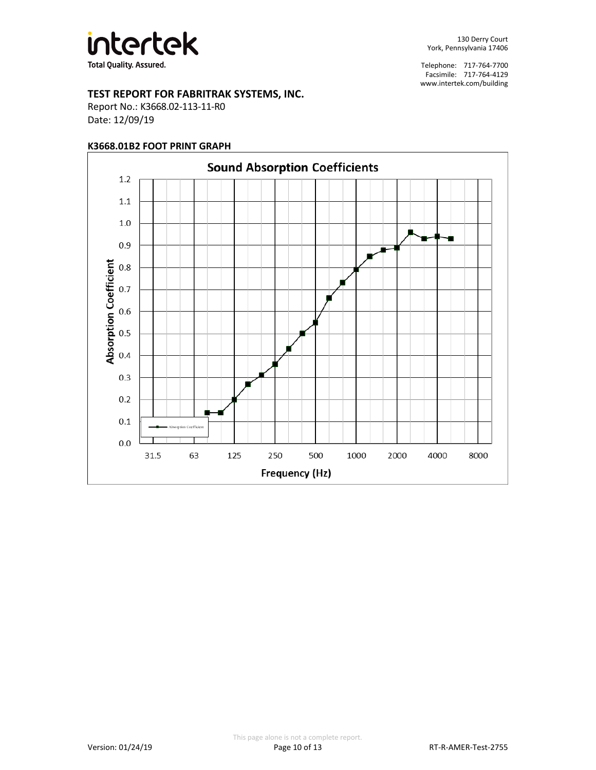

# **TEST REPORT FOR FABRITRAK SYSTEMS, INC.**

Report No.: K3668.02-113-11-R0 Date: 12/09/19

# **K3668.01B2 FOOT PRINT GRAPH**

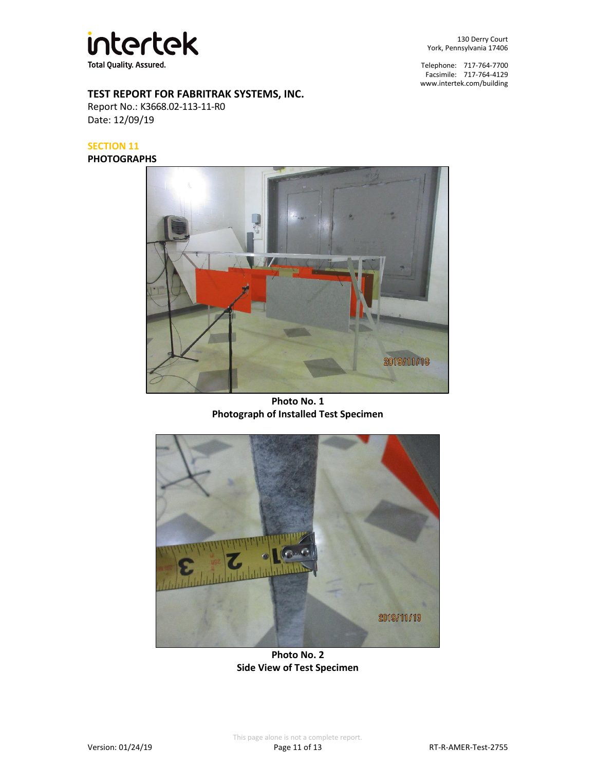

130 Derry Court York, Pennsylvania 17406

Telephone: 717-764-7700 Facsimile: 717-764-4129 [www.intertek.com/building](http://www.intertek.com/building)

# **TEST REPORT FOR FABRITRAK SYSTEMS, INC.**

Report No.: K3668.02-113-11-R0 Date: 12/09/19

# **SECTION 11**

**PHOTOGRAPHS**



**Photo No. 1 Photograph of Installed Test Specimen**



**Photo No. 2 Side View of Test Specimen**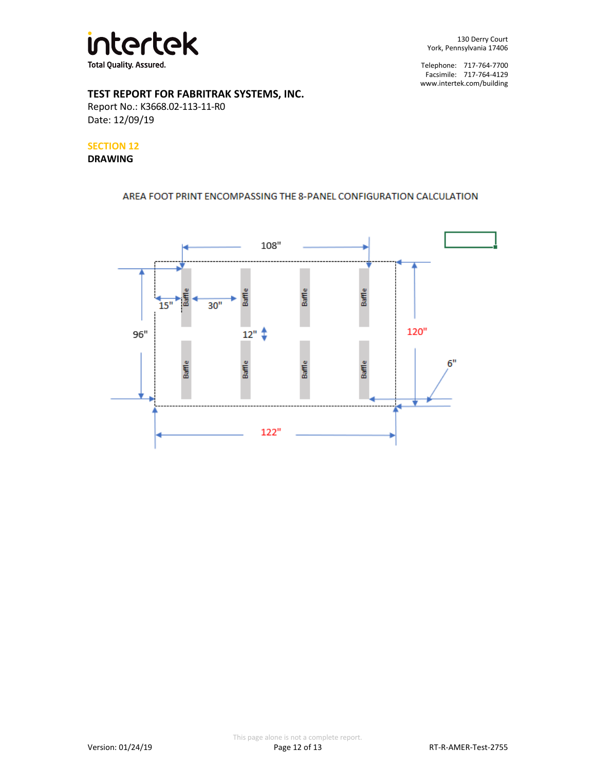

# **TEST REPORT FOR FABRITRAK SYSTEMS, INC.**

Report No.: K3668.02-113-11-R0 Date: 12/09/19

# **SECTION 12**

#### **DRAWING**

# AREA FOOT PRINT ENCOMPASSING THE 8-PANEL CONFIGURATION CALCULATION